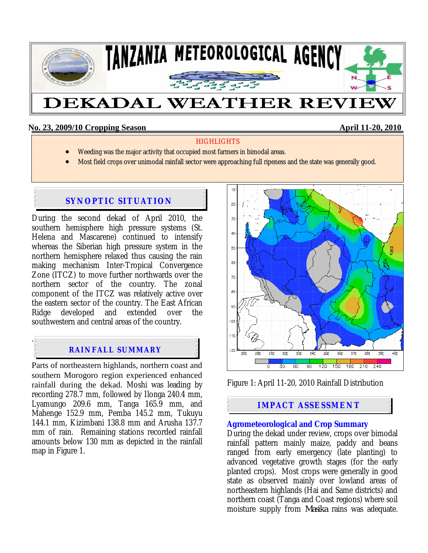

## **No. 23, 2009/10 Cropping Season April 11-20, 2010**

#### **HIGHLIGHTS**

- Weeding was the major activity that occupied most farmers in bimodal areas.
- Most field crops over unimodal rainfall sector were approaching full ripeness and the state was generally good.

# **SYNOPTIC SITUATION**

During the second dekad of April 2010, the southern hemisphere high pressure systems (St. Helena and Mascarene) continued to intensify whereas the Siberian high pressure system in the northern hemisphere relaxed thus causing the rain making mechanism Inter-Tropical Convergence Zone (ITCZ) to move further northwards over the northern sector of the country. The zonal component of the ITCZ was relatively active over the eastern sector of the country. The East African Ridge developed and extended over the southwestern and central areas of the country.

# **RAINFALL SUMMARY**

.

Parts of northeastern highlands, northern coast and southern Morogoro region experienced enhanced rainfall during the dekad. Moshi was leading by recording 278.7 mm, followed by Ilonga 240.4 mm, Lyamungo 209.6 mm, Tanga 165.9 mm, and Mahenge 152.9 mm, Pemba 145.2 mm, Tukuyu 144.1 mm, Kizimbani 138.8 mm and Arusha 137.7 mm of rain. Remaining stations recorded rainfall amounts below 130 mm as depicted in the rainfall map in Figure 1.





# **IMPACT ASSESSMENT**

### **Agrometeorological and Crop Summary**

During the dekad under review, crops over bimodal rainfall pattern mainly maize, paddy and beans ranged from early emergency (late planting) to advanced vegetative growth stages (for the early planted crops). Most crops were generally in good state as observed mainly over lowland areas of northeastern highlands (Hai and Same districts) and northern coast (Tanga and Coast regions) where soil moisture supply from *Masika* rains was adequate.